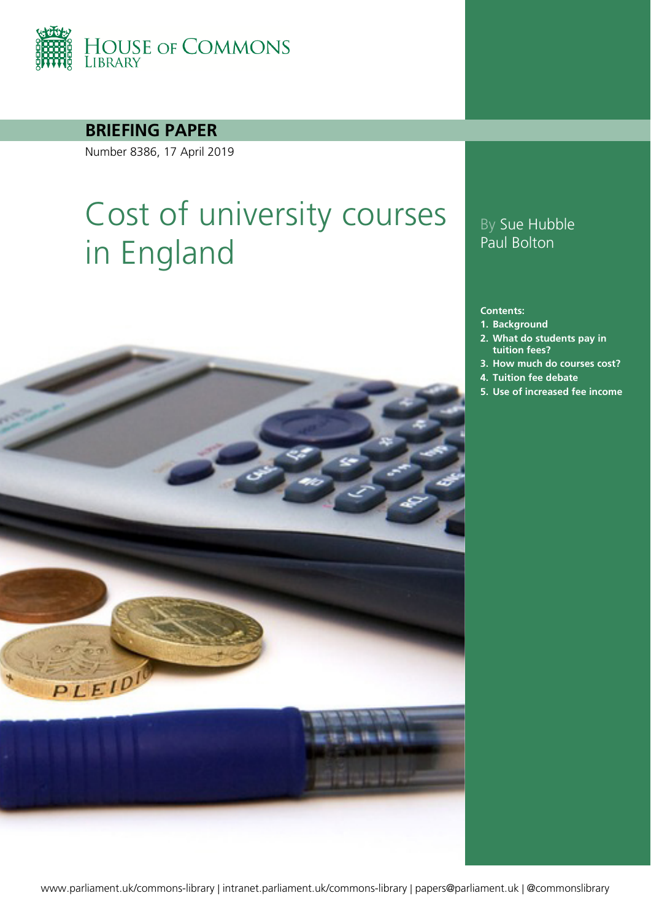

**BRIEFING PAPER**

Number 8386, 17 April 2019

# Cost of university courses in England



**Contents:**

- **1. [Background](#page-3-0)**
- **2. [What do students pay in](#page-5-0)  [tuition fees?](#page-5-0)**
- **3. [How much do courses cost?](#page-9-0)**
- **4. [Tuition fee debate](#page-12-0)**
- **5. [Use of increased fee income](#page-14-0)**

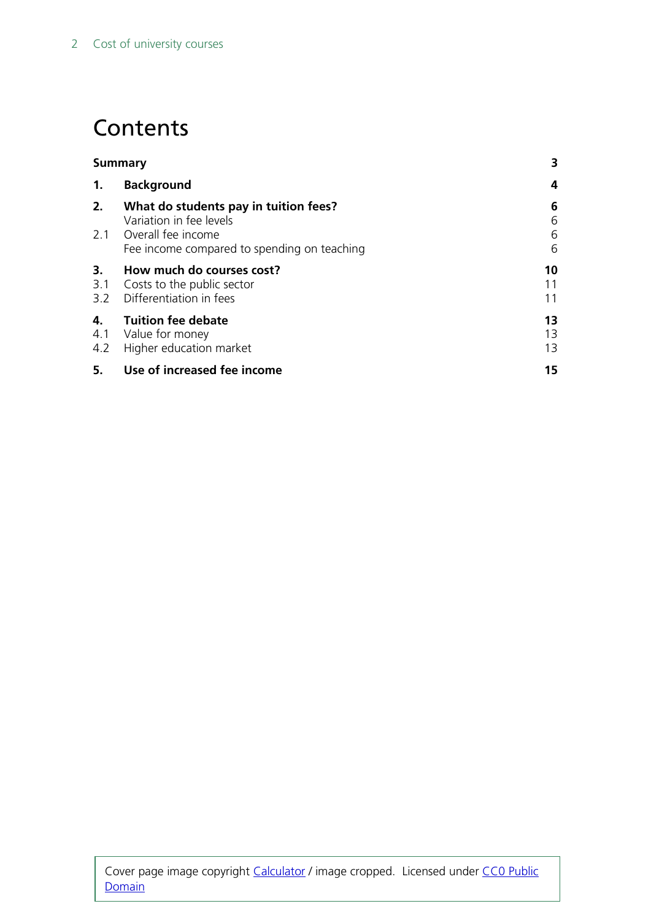## **Contents**

| <b>Summary</b> |                                                                                            | 3              |
|----------------|--------------------------------------------------------------------------------------------|----------------|
| 1.             | <b>Background</b>                                                                          | 4              |
| 2.             | What do students pay in tuition fees?<br>Variation in fee levels<br>2.1 Overall fee income | 6<br>6<br>6    |
|                | Fee income compared to spending on teaching                                                | 6              |
| 3.<br>3.1      | How much do courses cost?<br>Costs to the public sector<br>3.2 Differentiation in fees     | 10<br>11<br>11 |
| 4.<br>4.2      | <b>Tuition fee debate</b><br>4.1 Value for money<br>Higher education market                | 13<br>13<br>13 |
| 5.             | Use of increased fee income                                                                | 15             |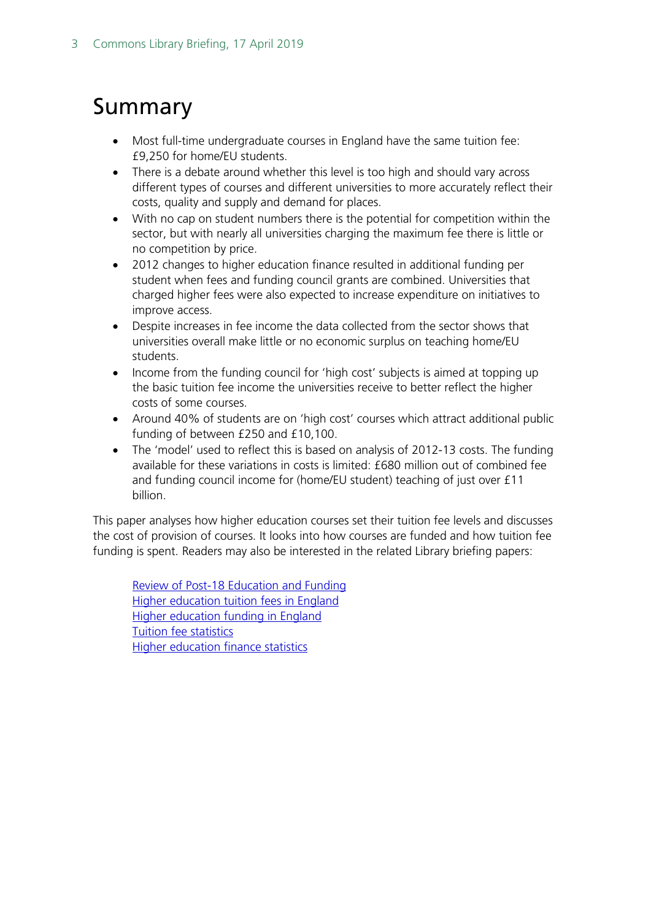## <span id="page-2-0"></span>Summary

- Most full-time undergraduate courses in England have the same tuition fee: £9,250 for home/EU students.
- There is a debate around whether this level is too high and should vary across different types of courses and different universities to more accurately reflect their costs, quality and supply and demand for places.
- With no cap on student numbers there is the potential for competition within the sector, but with nearly all universities charging the maximum fee there is little or no competition by price.
- 2012 changes to higher education finance resulted in additional funding per student when fees and funding council grants are combined. Universities that charged higher fees were also expected to increase expenditure on initiatives to improve access.
- Despite increases in fee income the data collected from the sector shows that universities overall make little or no economic surplus on teaching home/EU students.
- Income from the funding council for 'high cost' subjects is aimed at topping up the basic tuition fee income the universities receive to better reflect the higher costs of some courses.
- Around 40% of students are on 'high cost' courses which attract additional public funding of between £250 and £10,100.
- The 'model' used to reflect this is based on analysis of 2012-13 costs. The funding available for these variations in costs is limited: £680 million out of combined fee and funding council income for (home/EU student) teaching of just over £11 billion.

This paper analyses how higher education courses set their tuition fee levels and discusses the cost of provision of courses. It looks into how courses are funded and how tuition fee funding is spent. Readers may also be interested in the related Library briefing papers:

[Review of Post-18 Education and Funding](https://researchbriefings.parliament.uk/ResearchBriefing/Summary/CBP-8239) [Higher education tuition fees in England](https://researchbriefings.parliament.uk/ResearchBriefing/Summary/CBP-8151) [Higher education funding in England](https://researchbriefings.parliament.uk/ResearchBriefing/Summary/CBP-7973) [Tuition fee statistics](https://researchbriefings.parliament.uk/ResearchBriefing/Summary/SN00917) [Higher education finance statistics](https://researchbriefings.parliament.uk/ResearchBriefing/Summary/SN05440)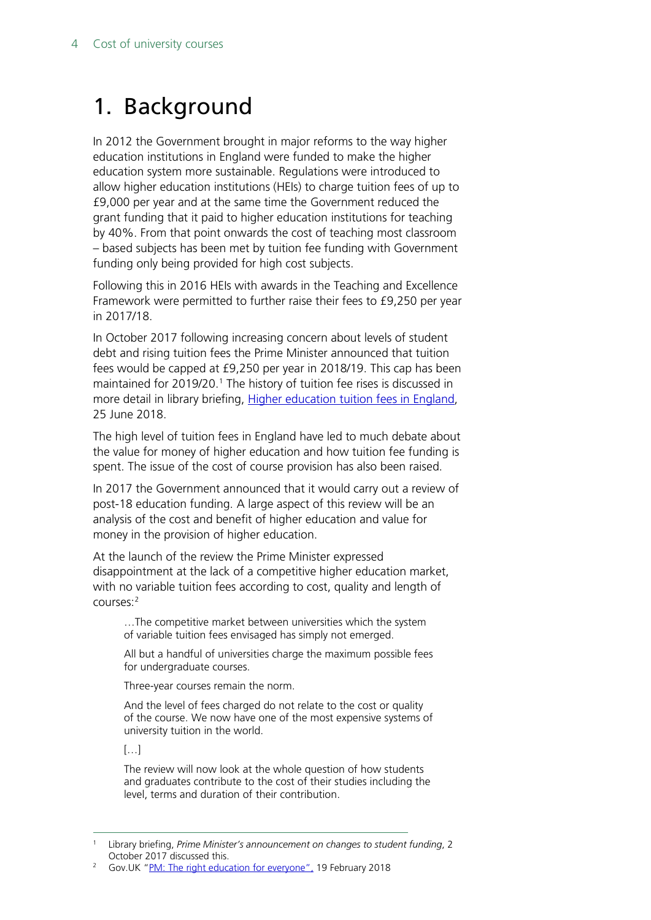## <span id="page-3-0"></span>1. Background

In 2012 the Government brought in major reforms to the way higher education institutions in England were funded to make the higher education system more sustainable. Regulations were introduced to allow higher education institutions (HEIs) to charge tuition fees of up to £9,000 per year and at the same time the Government reduced the grant funding that it paid to higher education institutions for teaching by 40%. From that point onwards the cost of teaching most classroom – based subjects has been met by tuition fee funding with Government funding only being provided for high cost subjects.

Following this in 2016 HEIs with awards in the Teaching and Excellence Framework were permitted to further raise their fees to £9,250 per year in 2017/18.

In October 2017 following increasing concern about levels of student debt and rising tuition fees the Prime Minister announced that tuition fees would be capped at £9,250 per year in 2018/19. This cap has been maintained for 2019/20. [1](#page-3-1) The history of tuition fee rises is discussed in more detail in library briefing, [Higher education tuition fees in England,](http://researchbriefings.files.parliament.uk/documents/CBP-8151/CBP-8151.pdf) 25 June 2018.

The high level of tuition fees in England have led to much debate about the value for money of higher education and how tuition fee funding is spent. The issue of the cost of course provision has also been raised.

In 2017 the Government announced that it would carry out a review of post-18 education funding. A large aspect of this review will be an analysis of the cost and benefit of higher education and value for money in the provision of higher education.

At the launch of the review the Prime Minister expressed disappointment at the lack of a competitive higher education market, with no variable tuition fees according to cost, quality and length of courses[:2](#page-3-2)

…The competitive market between universities which the system of variable tuition fees envisaged has simply not emerged.

All but a handful of universities charge the maximum possible fees for undergraduate courses.

Three-year courses remain the norm.

And the level of fees charged do not relate to the cost or quality of the course. We now have one of the most expensive systems of university tuition in the world.

[…]

The review will now look at the whole question of how students and graduates contribute to the cost of their studies including the level, terms and duration of their contribution.

<span id="page-3-1"></span> <sup>1</sup> Library briefing, *Prime Minister's announcement on changes to student funding*, 2 October 2017 discussed this.<br>2 Gov.UK ["PM: The right education for everyone"](https://www.gov.uk/government/speeches/pm-the-right-education-for-everyone), 19 February 2018

<span id="page-3-2"></span>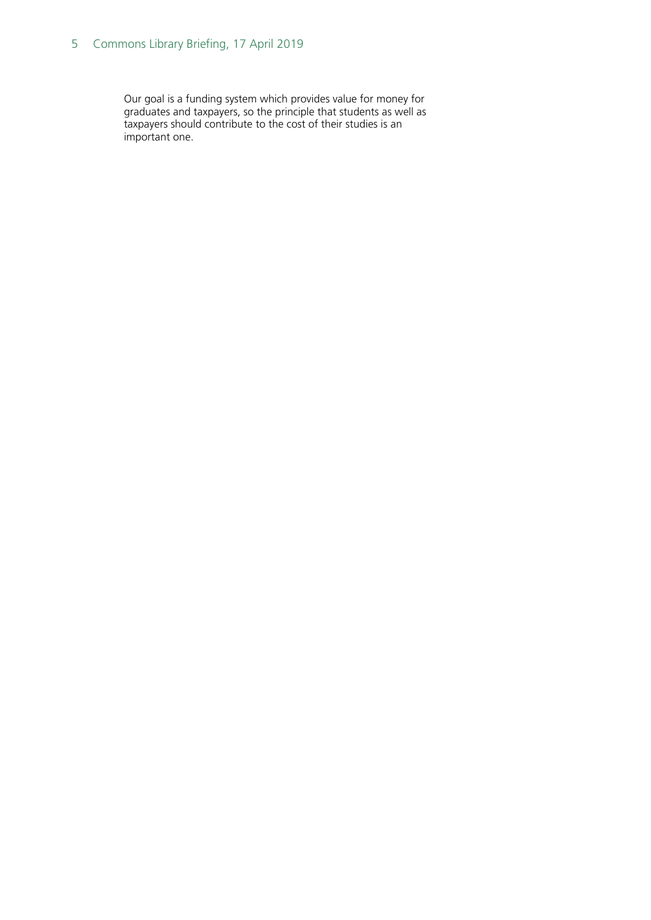#### 5 Commons Library Briefing, 17 April 2019

Our goal is a funding system which provides value for money for graduates and taxpayers, so the principle that students as well as taxpayers should contribute to the cost of their studies is an important one.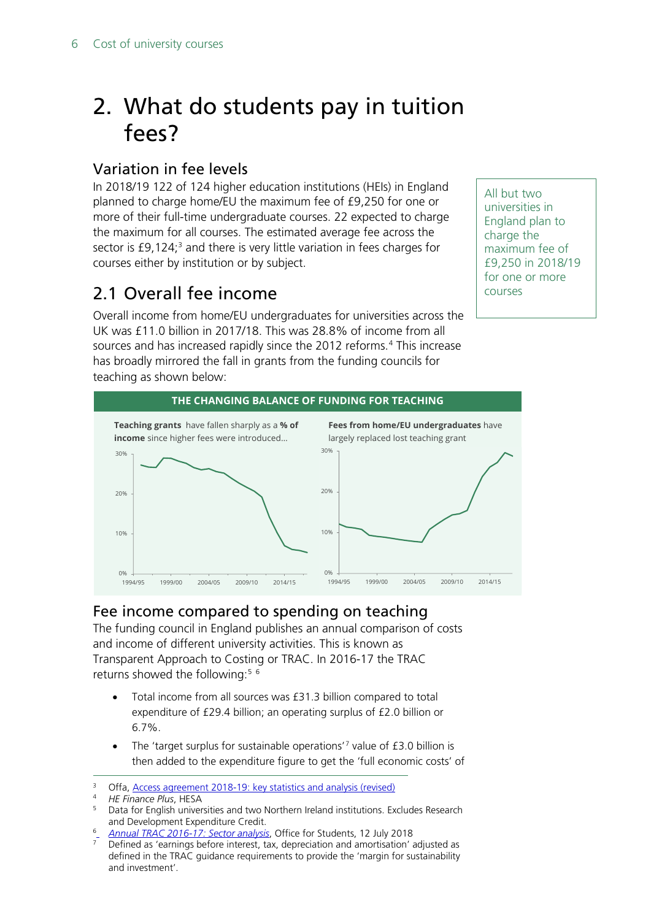## <span id="page-5-0"></span>2. What do students pay in tuition fees?

### <span id="page-5-1"></span>Variation in fee levels

In 2018/19 122 of 124 higher education institutions (HEIs) in England planned to charge home/EU the maximum fee of £9,250 for one or more of their full-time undergraduate courses. 22 expected to charge the maximum for all courses. The estimated average fee across the sector is £9,124;<sup>[3](#page-5-4)</sup> and there is very little variation in fees charges for courses either by institution or by subject.

### <span id="page-5-2"></span>2.1 Overall fee income

Overall income from home/EU undergraduates for universities across the UK was £11.0 billion in 2017/18. This was 28.8% of income from all sources and has increased rapidly since the 2012 reforms.<sup>[4](#page-5-5)</sup> This increase has broadly mirrored the fall in grants from the funding councils for teaching as shown below:



### <span id="page-5-3"></span>Fee income compared to spending on teaching

The funding council in England publishes an annual comparison of costs and income of different university activities. This is known as Transparent Approach to Costing or TRAC. In 2016-17 the TRAC returns showed the following: [5](#page-5-6) [6](#page-5-7)

- Total income from all sources was £31.3 billion compared to total expenditure of £29.4 billion; an operating surplus of £2.0 billion or 6.7%.
- The 'target surplus for sustainable operations'<sup>[7](#page-5-8)</sup> value of £3.0 billion is then added to the expenditure figure to get the 'full economic costs' of

<span id="page-5-8"></span><span id="page-5-7"></span><sup>6</sup> *[Annual TRAC 2016-17: Sector analysis](https://www.officeforstudents.org.uk/publications/annual-trac-2016-17-sector-analysis/)*, Office for Students, 12 July 2018

All but two universities in England plan to charge the maximum fee of £9,250 in 2018/19 for one or more courses

<span id="page-5-4"></span><sup>&</sup>lt;sup>3</sup> Offa, <u>Access agreement 2018-19: key statistics and analysis (revised)</u><br><sup>4</sup> HE Finance *Nus* HESA

<span id="page-5-5"></span><sup>&</sup>lt;sup>4</sup> *HE Finance Plus*, HESA

<span id="page-5-6"></span><sup>5</sup> Data for English universities and two Northern Ireland institutions. Excludes Research and Development Expenditure Credit.

Defined as 'earnings before interest, tax, depreciation and amortisation' adjusted as defined in the TRAC guidance requirements to provide the 'margin for sustainability and investment'.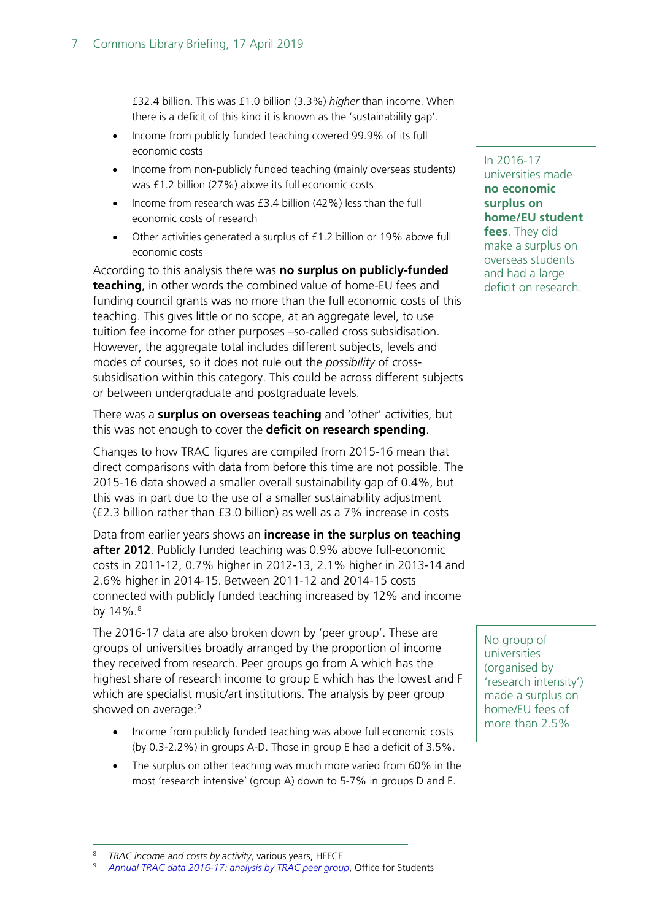£32.4 billion. This was £1.0 billion (3.3%) *higher* than income. When there is a deficit of this kind it is known as the 'sustainability gap'.

- Income from publicly funded teaching covered 99.9% of its full economic costs
- Income from non-publicly funded teaching (mainly overseas students) was £1.2 billion (27%) above its full economic costs
- Income from research was £3.4 billion (42%) less than the full economic costs of research
- Other activities generated a surplus of £1.2 billion or 19% above full economic costs

According to this analysis there was **no surplus on publicly-funded teaching**, in other words the combined value of home-EU fees and funding council grants was no more than the full economic costs of this teaching. This gives little or no scope, at an aggregate level, to use tuition fee income for other purposes –so-called cross subsidisation. However, the aggregate total includes different subjects, levels and modes of courses, so it does not rule out the *possibility* of crosssubsidisation within this category. This could be across different subjects or between undergraduate and postgraduate levels.

There was a **surplus on overseas teaching** and 'other' activities, but this was not enough to cover the **deficit on research spending**.

Changes to how TRAC figures are compiled from 2015-16 mean that direct comparisons with data from before this time are not possible. The 2015-16 data showed a smaller overall sustainability gap of 0.4%, but this was in part due to the use of a smaller sustainability adjustment (£2.3 billion rather than £3.0 billion) as well as a 7% increase in costs

Data from earlier years shows an **increase in the surplus on teaching after 2012**. Publicly funded teaching was 0.9% above full-economic costs in 2011-12, 0.7% higher in 2012-13, 2.1% higher in 2013-14 and 2.6% higher in 2014-15. Between 2011-12 and 2014-15 costs connected with publicly funded teaching increased by 12% and income by  $14\%$ .<sup>[8](#page-6-0)</sup>

The 2016-17 data are also broken down by 'peer group'. These are groups of universities broadly arranged by the proportion of income they received from research. Peer groups go from A which has the highest share of research income to group E which has the lowest and F which are specialist music/art institutions. The analysis by peer group showed on average:<sup>[9](#page-6-1)</sup>

- Income from publicly funded teaching was above full economic costs (by 0.3-2.2%) in groups A-D. Those in group E had a deficit of 3.5%.
- The surplus on other teaching was much more varied from 60% in the most 'research intensive' (group A) down to 5-7% in groups D and E.

#### In 2016-17

universities made **no economic surplus on home/EU student fees**. They did make a surplus on overseas students and had a large deficit on research.

No group of universities (organised by 'research intensity') made a surplus on home/EU fees of more than 2.5%

 <sup>8</sup> *TRAC income and costs by activity*, various years, HEFCE

<span id="page-6-1"></span><span id="page-6-0"></span><sup>9</sup> *[Annual TRAC data 2016-17: analysis by TRAC peer group](https://www.officeforstudents.org.uk/data-and-analysis/trac-data-2016-17/published-data/)*, Office for Students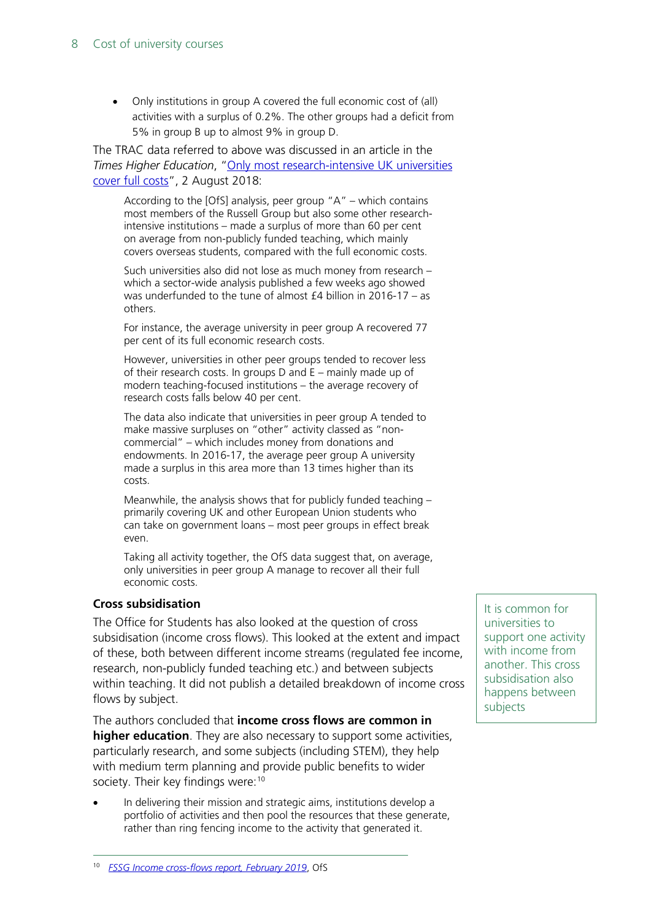#### 8 Cost of university courses

• Only institutions in group A covered the full economic cost of (all) activities with a surplus of 0.2%. The other groups had a deficit from 5% in group B up to almost 9% in group D.

The TRAC data referred to above was discussed in an article in the *Times Higher Education*, ["Only most research-intensive UK universities](https://www.timeshighereducation.com/news/only-most-research-intensive-uk-universities-cover-full-costs)  [cover full costs"](https://www.timeshighereducation.com/news/only-most-research-intensive-uk-universities-cover-full-costs), 2 August 2018:

According to the [OfS] analysis, peer group "A" – which contains most members of the Russell Group but also some other researchintensive institutions – made a surplus of more than 60 per cent on average from non-publicly funded teaching, which mainly covers overseas students, compared with the full economic costs.

Such universities also did not lose as much money from research – which a sector-wide analysis published a few weeks ago showed was underfunded to the tune of almost £4 billion in 2016-17 – as others.

For instance, the average university in peer group A recovered 77 per cent of its full economic research costs.

However, universities in other peer groups tended to recover less of their research costs. In groups D and E – mainly made up of modern teaching-focused institutions – the average recovery of research costs falls below 40 per cent.

The data also indicate that universities in peer group A tended to make massive surpluses on "other" activity classed as "noncommercial" – which includes money from donations and endowments. In 2016-17, the average peer group A university made a surplus in this area more than 13 times higher than its costs.

Meanwhile, the analysis shows that for publicly funded teaching – primarily covering UK and other European Union students who can take on government loans – most peer groups in effect break even.

Taking all activity together, the OfS data suggest that, on average, only universities in peer group A manage to recover all their full economic costs.

#### **Cross subsidisation**

The Office for Students has also looked at the question of cross subsidisation (income cross flows). This looked at the extent and impact of these, both between different income streams (regulated fee income, research, non-publicly funded teaching etc.) and between subjects within teaching. It did not publish a detailed breakdown of income cross flows by subject.

The authors concluded that **income cross flows are common in higher education**. They are also necessary to support some activities, particularly research, and some subjects (including STEM), they help with medium term planning and provide public benefits to wider society. Their key findings were:<sup>[10](#page-7-0)</sup>

<span id="page-7-0"></span>• In delivering their mission and strategic aims, institutions develop a portfolio of activities and then pool the resources that these generate, rather than ring fencing income to the activity that generated it.

It is common for universities to support one activity with income from another. This cross subsidisation also happens between subjects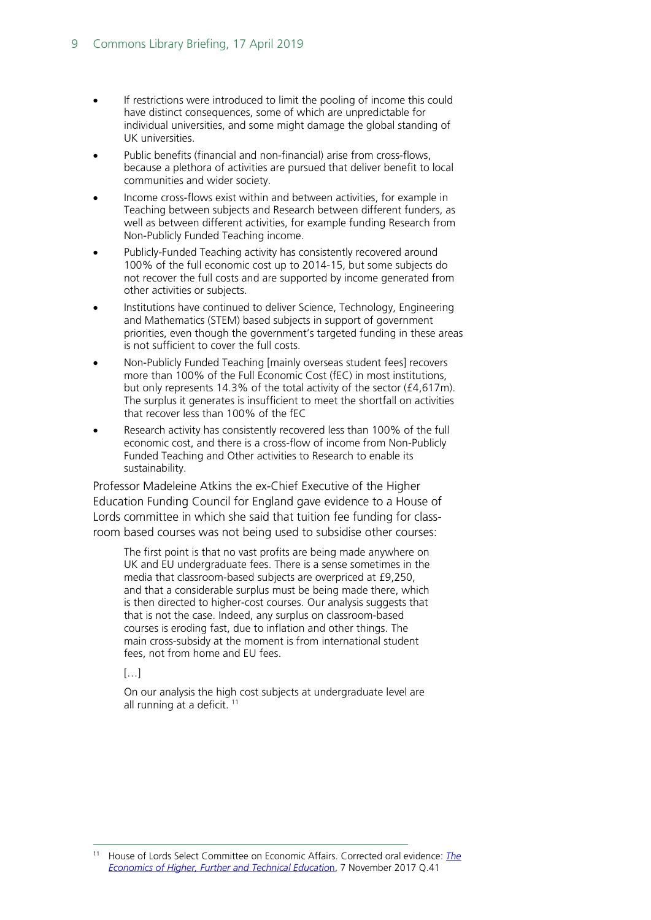- If restrictions were introduced to limit the pooling of income this could have distinct consequences, some of which are unpredictable for individual universities, and some might damage the global standing of UK universities.
- Public benefits (financial and non-financial) arise from cross-flows, because a plethora of activities are pursued that deliver benefit to local communities and wider society.
- Income cross-flows exist within and between activities, for example in Teaching between subjects and Research between different funders, as well as between different activities, for example funding Research from Non-Publicly Funded Teaching income.
- Publicly-Funded Teaching activity has consistently recovered around 100% of the full economic cost up to 2014-15, but some subjects do not recover the full costs and are supported by income generated from other activities or subjects.
- Institutions have continued to deliver Science, Technology, Engineering and Mathematics (STEM) based subjects in support of government priorities, even though the government's targeted funding in these areas is not sufficient to cover the full costs.
- Non-Publicly Funded Teaching [mainly overseas student fees] recovers more than 100% of the Full Economic Cost (fEC) in most institutions, but only represents 14.3% of the total activity of the sector (£4,617m). The surplus it generates is insufficient to meet the shortfall on activities that recover less than 100% of the fEC
- Research activity has consistently recovered less than 100% of the full economic cost, and there is a cross-flow of income from Non-Publicly Funded Teaching and Other activities to Research to enable its sustainability.

Professor Madeleine Atkins the ex-Chief Executive of the Higher Education Funding Council for England gave evidence to a House of Lords committee in which she said that tuition fee funding for classroom based courses was not being used to subsidise other courses:

The first point is that no vast profits are being made anywhere on UK and EU undergraduate fees. There is a sense sometimes in the media that classroom-based subjects are overpriced at £9,250, and that a considerable surplus must be being made there, which is then directed to higher-cost courses. Our analysis suggests that that is not the case. Indeed, any surplus on classroom-based courses is eroding fast, due to inflation and other things. The main cross-subsidy at the moment is from international student fees, not from home and EU fees.

[…]

On our analysis the high cost subjects at undergraduate level are all running at a deficit.<sup>[11](#page-8-0)</sup>

<span id="page-8-0"></span> <sup>11</sup> House of Lords Select Committee on Economic Affairs. Corrected oral evidence: *[The](http://data.parliament.uk/writtenevidence/committeeevidence.svc/evidencedocument/economic-affairs-committee/the-economics-of-higher-further-and-technical-education/oral/73498.html)  [Economics of Higher, Further and Technical Educatio](http://data.parliament.uk/writtenevidence/committeeevidence.svc/evidencedocument/economic-affairs-committee/the-economics-of-higher-further-and-technical-education/oral/73498.html)*n, 7 November 2017 Q.41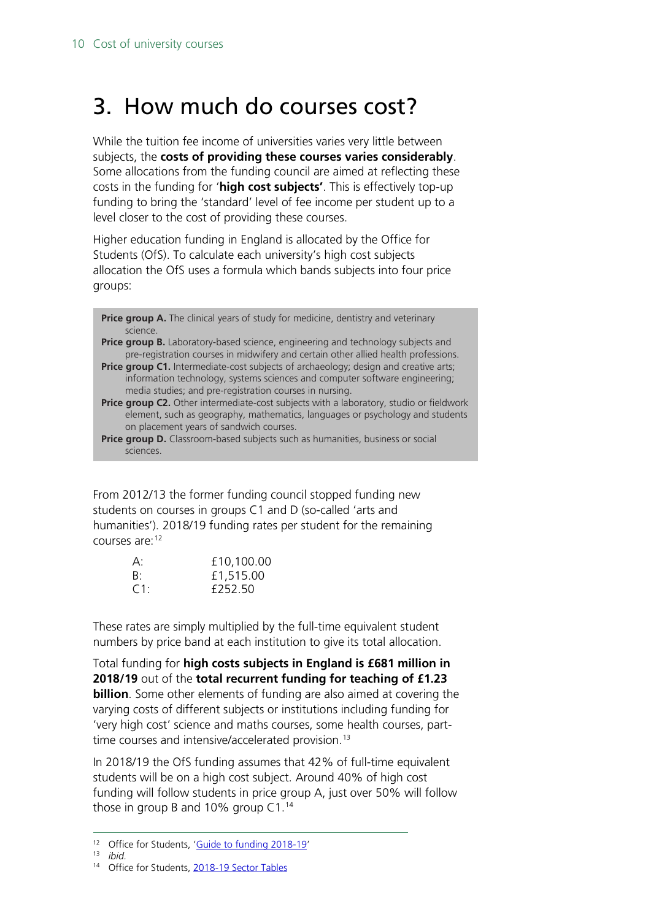## <span id="page-9-0"></span>3. How much do courses cost?

While the tuition fee income of universities varies very little between subjects, the **costs of providing these courses varies considerably**. Some allocations from the funding council are aimed at reflecting these costs in the funding for '**high cost subjects'**. This is effectively top-up funding to bring the 'standard' level of fee income per student up to a level closer to the cost of providing these courses.

Higher education funding in England is allocated by the Office for Students (OfS). To calculate each university's high cost subjects allocation the OfS uses a formula which bands subjects into four price groups:

**Price group A.** The clinical years of study for medicine, dentistry and veterinary science.

- **Price group B.** Laboratory-based science, engineering and technology subjects and pre-registration courses in midwifery and certain other allied health professions.
- **Price group C1.** Intermediate-cost subjects of archaeology; design and creative arts; information technology, systems sciences and computer software engineering; media studies; and pre-registration courses in nursing.

**Price group C2.** Other intermediate-cost subjects with a laboratory, studio or fieldwork element, such as geography, mathematics, languages or psychology and students on placement years of sandwich courses.

**Price group D.** Classroom-based subjects such as humanities, business or social sciences.

From 2012/13 the former funding council stopped funding new students on courses in groups C1 and D (so-called 'arts and humanities'). 2018/19 funding rates per student for the remaining courses are:[12](#page-9-1)

| $A$ :  | £10,100.00 |
|--------|------------|
| B:     | £1,515.00  |
| $C1$ : | £252.50    |

These rates are simply multiplied by the full-time equivalent student numbers by price band at each institution to give its total allocation.

Total funding for **high costs subjects in England is £681 million in 2018/19** out of the **total recurrent funding for teaching of £1.23 billion**. Some other elements of funding are also aimed at covering the varying costs of different subjects or institutions including funding for 'very high cost' science and maths courses, some health courses, part-time courses and intensive/accelerated provision.<sup>[13](#page-9-2)</sup>

In 2018/19 the OfS funding assumes that 42% of full-time equivalent students will be on a high cost subject. Around 40% of high cost funding will follow students in price group A, just over 50% will follow those in group B and 10% group C1.<sup>[14](#page-9-3)</sup>

 <sup>12</sup> Office for Students, ['Guide to funding 2018-19'](https://www.officeforstudents.org.uk/publications/guide-to-funding-2018-19/)

<span id="page-9-3"></span><span id="page-9-2"></span><span id="page-9-1"></span><sup>13</sup> *ibid.*

<sup>&</sup>lt;sup>14</sup> Office for Students[, 2018-19 Sector Tables](https://www.officeforstudents.org.uk/advice-and-guidance/funding-for-providers/annual-funding/technical-guidance-and-funding-data/)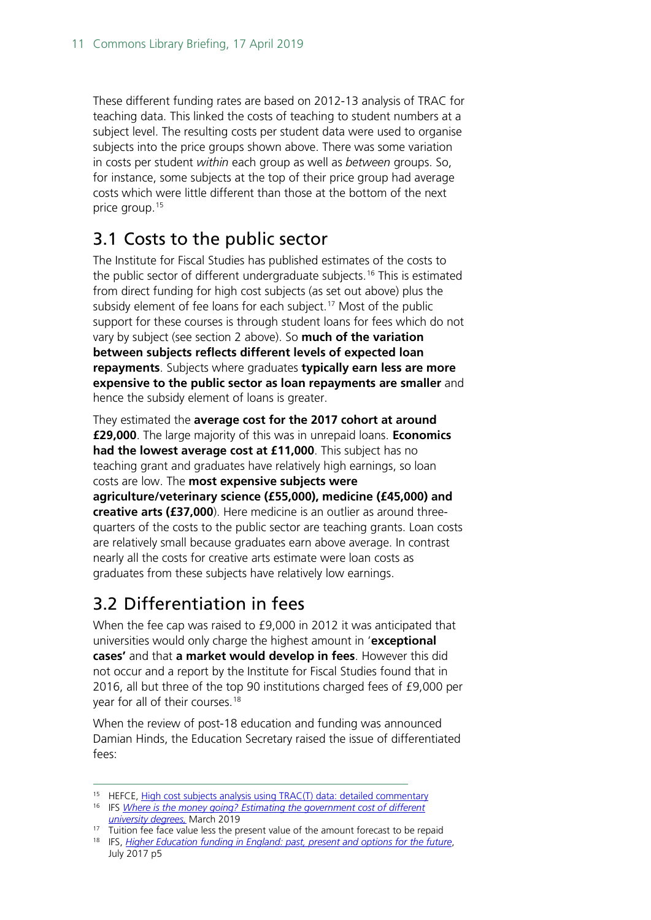These different funding rates are based on 2012-13 analysis of TRAC for teaching data. This linked the costs of teaching to student numbers at a subject level. The resulting costs per student data were used to organise subjects into the price groups shown above. There was some variation in costs per student *within* each group as well as *between* groups. So, for instance, some subjects at the top of their price group had average costs which were little different than those at the bottom of the next price group. [15](#page-10-2)

### <span id="page-10-0"></span>3.1 Costs to the public sector

The Institute for Fiscal Studies has published estimates of the costs to the public sector of different undergraduate subjects.<sup>[16](#page-10-3)</sup> This is estimated from direct funding for high cost subjects (as set out above) plus the subsidy element of fee loans for each subject.<sup>[17](#page-10-4)</sup> Most of the public support for these courses is through student loans for fees which do not vary by subject (see section 2 above). So **much of the variation between subjects reflects different levels of expected loan repayments**. Subjects where graduates **typically earn less are more expensive to the public sector as loan repayments are smaller** and hence the subsidy element of loans is greater.

They estimated the **average cost for the 2017 cohort at around £29,000**. The large majority of this was in unrepaid loans. **Economics had the lowest average cost at £11,000**. This subject has no teaching grant and graduates have relatively high earnings, so loan costs are low. The **most expensive subjects were agriculture/veterinary science (£55,000), medicine (£45,000) and creative arts (£37,000**). Here medicine is an outlier as around threequarters of the costs to the public sector are teaching grants. Loan costs are relatively small because graduates earn above average. In contrast nearly all the costs for creative arts estimate were loan costs as graduates from these subjects have relatively low earnings.

## <span id="page-10-1"></span>3.2 Differentiation in fees

When the fee cap was raised to £9,000 in 2012 it was anticipated that universities would only charge the highest amount in '**exceptional cases'** and that **a market would develop in fees**. However this did not occur and a report by the Institute for Fiscal Studies found that in 2016, all but three of the top 90 institutions charged fees of £9,000 per year for all of their courses. [18](#page-10-5)

When the review of post-18 education and funding was announced Damian Hinds, the Education Secretary raised the issue of differentiated fees:

<span id="page-10-3"></span><span id="page-10-2"></span><sup>15</sup> HEFCE, [High cost subjects analysis using TRAC\(T\) data: detailed commentary](http://www.hefce.ac.uk/media/hefce/content/data/2012/TRACThighcost/TRAC_methodology_for_high-costs_subjects.doc)

<sup>16</sup> IFS *[Where is the money going? Estimating the government cost of different](https://www.ifs.org.uk/publications/13944)  [university degrees,](https://www.ifs.org.uk/publications/13944)* March 2019

<span id="page-10-4"></span><sup>&</sup>lt;sup>17</sup> Tuition fee face value less the present value of the amount forecast to be repaid

<span id="page-10-5"></span><sup>&</sup>lt;sup>18</sup> IFS, *[Higher Education funding in England: past, present and options for the future](https://www.ifs.org.uk/uploads/BN211.pdf)*, July 2017 p5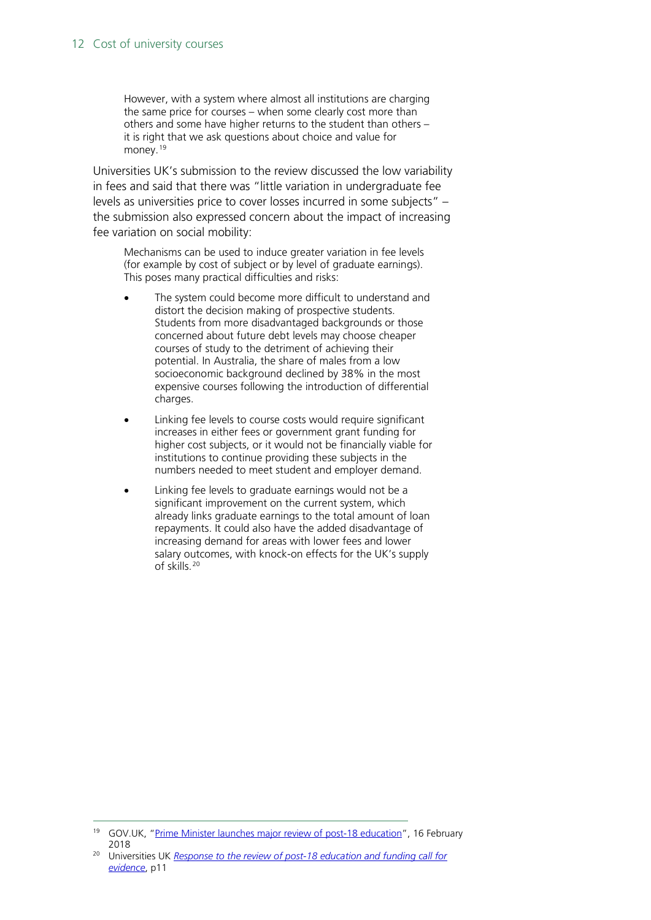However, with a system where almost all institutions are charging the same price for courses – when some clearly cost more than others and some have higher returns to the student than others – it is right that we ask questions about choice and value for money. [19](#page-11-0)

Universities UK's submission to the review discussed the low variability in fees and said that there was "little variation in undergraduate fee levels as universities price to cover losses incurred in some subjects" – the submission also expressed concern about the impact of increasing fee variation on social mobility:

Mechanisms can be used to induce greater variation in fee levels (for example by cost of subject or by level of graduate earnings). This poses many practical difficulties and risks:

- The system could become more difficult to understand and distort the decision making of prospective students. Students from more disadvantaged backgrounds or those concerned about future debt levels may choose cheaper courses of study to the detriment of achieving their potential. In Australia, the share of males from a low socioeconomic background declined by 38% in the most expensive courses following the introduction of differential charges.
- Linking fee levels to course costs would require significant increases in either fees or government grant funding for higher cost subjects, or it would not be financially viable for institutions to continue providing these subjects in the numbers needed to meet student and employer demand.
- Linking fee levels to graduate earnings would not be a significant improvement on the current system, which already links graduate earnings to the total amount of loan repayments. It could also have the added disadvantage of increasing demand for areas with lower fees and lower salary outcomes, with knock-on effects for the UK's supply of skills.[20](#page-11-1)

<span id="page-11-0"></span><sup>&</sup>lt;sup>19</sup> GOV.UK, ["Prime Minister launches major review of post-18 education"](https://www.gov.uk/government/news/prime-minister-launches-major-review-of-post-18-education), 16 February 2018

<span id="page-11-1"></span><sup>20</sup> Universities UK *[Response to the review of post-18 education and funding call for](https://www.universitiesuk.ac.uk/policy-and-analysis/reports/Documents/2018/uuk-response-post-18-review-call-evidence.pdf)  [evidence](https://www.universitiesuk.ac.uk/policy-and-analysis/reports/Documents/2018/uuk-response-post-18-review-call-evidence.pdf)*, p11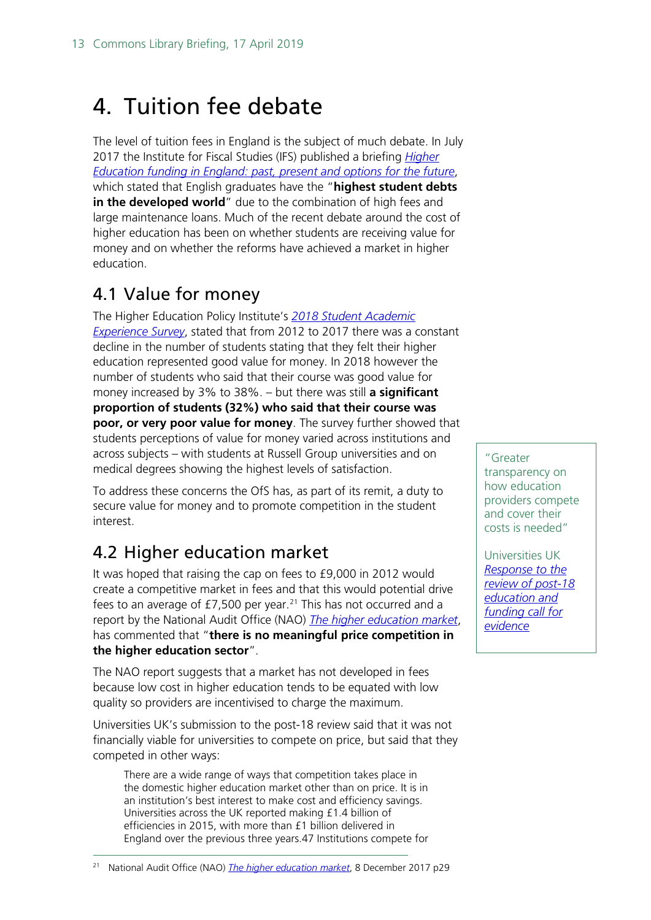## <span id="page-12-0"></span>4. Tuition fee debate

The level of tuition fees in England is the subject of much debate. In July 2017 the Institute for Fiscal Studies (IFS) published a briefing *[Higher](https://www.ifs.org.uk/publications/9334)  [Education funding in England: past, present and options for the future](https://www.ifs.org.uk/publications/9334)*, which stated that English graduates have the "**highest student debts in the developed world**" due to the combination of high fees and large maintenance loans. Much of the recent debate around the cost of higher education has been on whether students are receiving value for money and on whether the reforms have achieved a market in higher education.

### <span id="page-12-1"></span>4.1 Value for money

The Higher Education Policy Institute's *[2018 Student Academic](https://www.heacademy.ac.uk/system/files/hub/download/Student%20Academic%20Experience%20Survey%20report%202018_0.pdf)  [Experience Survey](https://www.heacademy.ac.uk/system/files/hub/download/Student%20Academic%20Experience%20Survey%20report%202018_0.pdf)*, stated that from 2012 to 2017 there was a constant decline in the number of students stating that they felt their higher education represented good value for money. In 2018 however the number of students who said that their course was good value for money increased by 3% to 38%. – but there was still **a significant proportion of students (32%) who said that their course was poor, or very poor value for money**. The survey further showed that students perceptions of value for money varied across institutions and across subjects – with students at Russell Group universities and on medical degrees showing the highest levels of satisfaction.

To address these concerns the OfS has, as part of its remit, a duty to secure value for money and to promote competition in the student interest.

## <span id="page-12-2"></span>4.2 Higher education market

It was hoped that raising the cap on fees to £9,000 in 2012 would create a competitive market in fees and that this would potential drive fees to an average of £7,500 per year. [21](#page-12-3) This has not occurred and a report by the National Audit Office (NAO) *[The higher education market](https://www.nao.org.uk/wp-content/uploads/2017/12/The-higher-education-market.pdf)*, has commented that "**there is no meaningful price competition in the higher education sector**".

The NAO report suggests that a market has not developed in fees because low cost in higher education tends to be equated with low quality so providers are incentivised to charge the maximum.

Universities UK's submission to the post-18 review said that it was not financially viable for universities to compete on price, but said that they competed in other ways:

There are a wide range of ways that competition takes place in the domestic higher education market other than on price. It is in an institution's best interest to make cost and efficiency savings. Universities across the UK reported making £1.4 billion of efficiencies in 2015, with more than £1 billion delivered in England over the previous three years.47 Institutions compete for

<span id="page-12-3"></span>21 National Audit Office (NAO) *[The higher education market](https://www.nao.org.uk/wp-content/uploads/2017/12/The-higher-education-market.pdf)*, 8 December 2017 p29

"Greater transparency on how education providers compete and cover their costs is needed"

Universities UK *[Response to the](https://www.universitiesuk.ac.uk/policy-and-analysis/reports/Documents/2018/uuk-response-post-18-review-call-evidence.pdf)  [review of post-18](https://www.universitiesuk.ac.uk/policy-and-analysis/reports/Documents/2018/uuk-response-post-18-review-call-evidence.pdf)  [education and](https://www.universitiesuk.ac.uk/policy-and-analysis/reports/Documents/2018/uuk-response-post-18-review-call-evidence.pdf)  [funding call for](https://www.universitiesuk.ac.uk/policy-and-analysis/reports/Documents/2018/uuk-response-post-18-review-call-evidence.pdf)  [evidence](https://www.universitiesuk.ac.uk/policy-and-analysis/reports/Documents/2018/uuk-response-post-18-review-call-evidence.pdf)*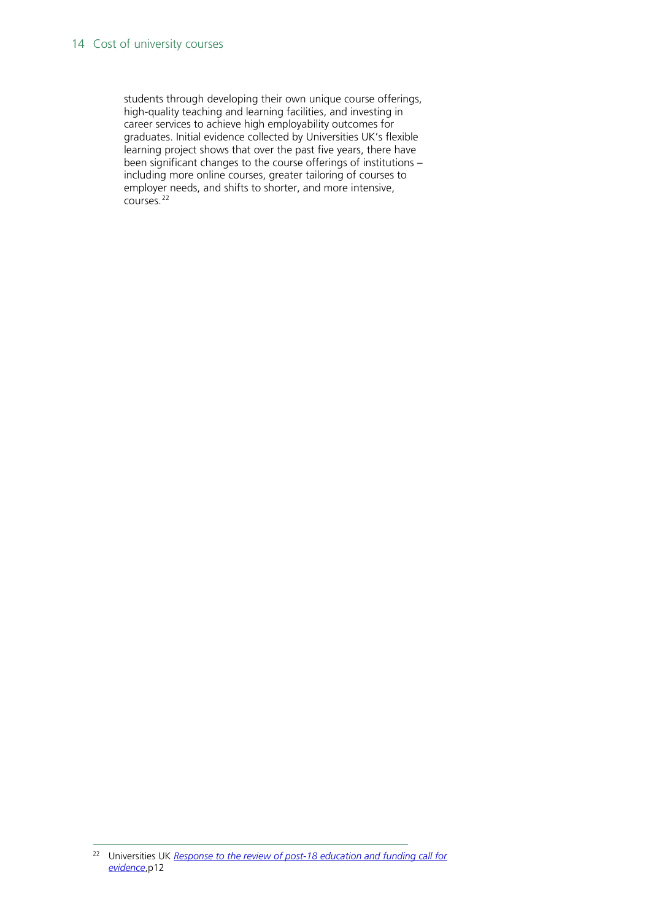#### 14 Cost of university courses

students through developing their own unique course offerings, high-quality teaching and learning facilities, and investing in career services to achieve high employability outcomes for graduates. Initial evidence collected by Universities UK's flexible learning project shows that over the past five years, there have been significant changes to the course offerings of institutions – including more online courses, greater tailoring of courses to employer needs, and shifts to shorter, and more intensive, courses.[22](#page-13-0)

<span id="page-13-0"></span> <sup>22</sup> Universities UK *[Response to the review of post-18 education and funding call for](https://www.universitiesuk.ac.uk/policy-and-analysis/reports/Documents/2018/uuk-response-post-18-review-call-evidence.pdf)  [evidence](https://www.universitiesuk.ac.uk/policy-and-analysis/reports/Documents/2018/uuk-response-post-18-review-call-evidence.pdf)*,p12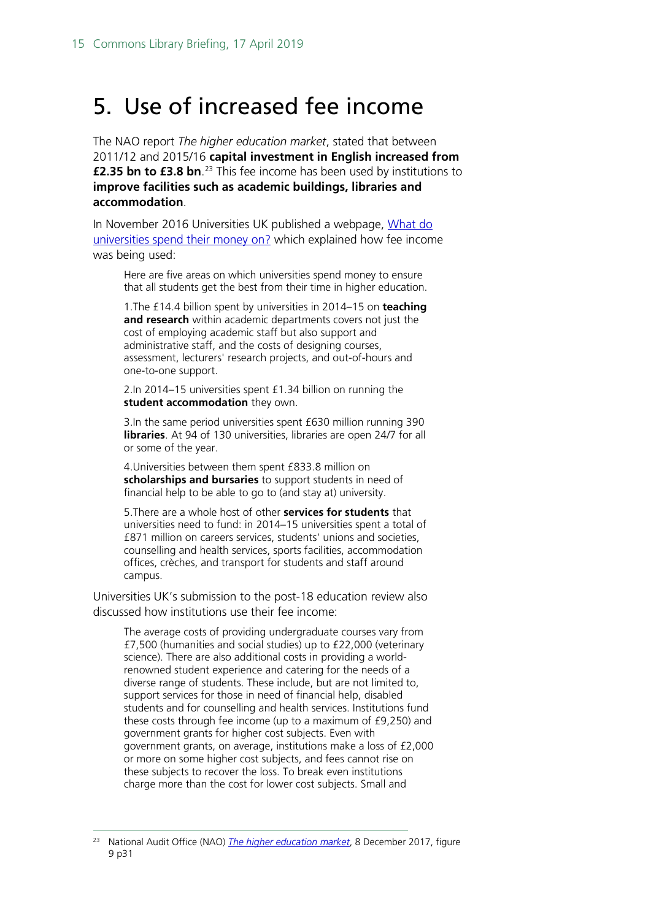## <span id="page-14-0"></span>5. Use of increased fee income

The NAO report *The higher education market*, stated that between 2011/12 and 2015/16 **capital investment in English increased from £2.35 bn to £3.8 bn**.<sup>[23](#page-14-1)</sup> This fee income has been used by institutions to **improve facilities such as academic buildings, libraries and accommodation**.

In November 2016 Universities UK published a webpage, [What do](https://www.universitiesuk.ac.uk/blog/Pages/what-do-universities-spend-their-money-on.aspx)  [universities spend their money on?](https://www.universitiesuk.ac.uk/blog/Pages/what-do-universities-spend-their-money-on.aspx) which explained how fee income was being used:

Here are five areas on which universities spend money to ensure that all students get the best from their time in higher education.

1.The £14.4 billion spent by universities in 2014–15 on **teaching and research** within academic departments covers not just the cost of employing academic staff but also support and administrative staff, and the costs of designing courses, assessment, lecturers' research projects, and out-of-hours and one-to-one support.

2.In 2014–15 universities spent £1.34 billion on running the **student accommodation** they own.

3.In the same period universities spent £630 million running 390 **libraries**. At 94 of 130 universities, libraries are open 24/7 for all or some of the year.

4.Universities between them spent £833.8 million on **scholarships and bursaries** to support students in need of financial help to be able to go to (and stay at) university.

5.There are a whole host of other **services for students** that universities need to fund: in 2014–15 universities spent a total of £871 million on careers services, students' unions and societies, counselling and health services, sports facilities, accommodation offices, crèches, and transport for students and staff around campus.

Universities UK's submission to the post-18 education review also discussed how institutions use their fee income:

The average costs of providing undergraduate courses vary from £7,500 (humanities and social studies) up to £22,000 (veterinary science). There are also additional costs in providing a worldrenowned student experience and catering for the needs of a diverse range of students. These include, but are not limited to, support services for those in need of financial help, disabled students and for counselling and health services. Institutions fund these costs through fee income (up to a maximum of £9,250) and government grants for higher cost subjects. Even with government grants, on average, institutions make a loss of £2,000 or more on some higher cost subjects, and fees cannot rise on these subjects to recover the loss. To break even institutions charge more than the cost for lower cost subjects. Small and

<span id="page-14-1"></span> <sup>23</sup> National Audit Office (NAO) *[The higher education market](https://www.nao.org.uk/wp-content/uploads/2017/12/The-higher-education-market.pdf)*, 8 December 2017, figure 9 p31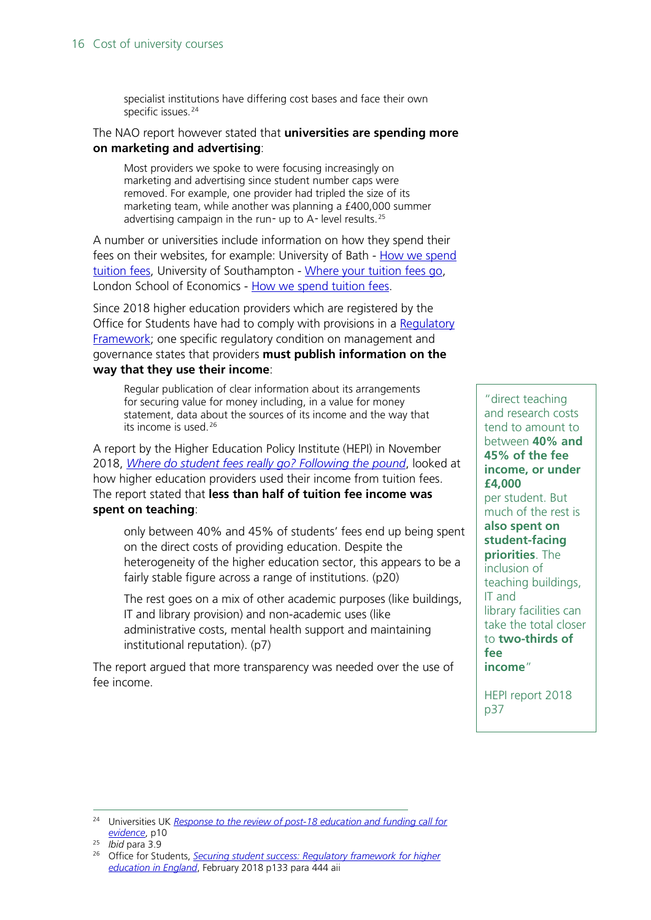specialist institutions have differing cost bases and face their own specific issues.<sup>[24](#page-15-0)</sup>

#### The NAO report however stated that **universities are spending more on marketing and advertising**:

Most providers we spoke to were focusing increasingly on marketing and advertising since student number caps were removed. For example, one provider had tripled the size of its marketing team, while another was planning a £400,000 summer advertising campaign in the run- up to  $A$ - level results.<sup>[25](#page-15-1)</sup>

A number or universities include information on how they spend their fees on their websites, for example: University of Bath - How we spend [tuition fees,](https://www.bath.ac.uk/students/finance/tuition-fees/how-we-spend/index.html) University of Southampton - [Where your tuition fees go,](https://www.southampton.ac.uk/uni-life/fees-funding/where-your-tuition-fees-go.page) London School of Economics - [How we spend tuition fees.](https://info.lse.ac.uk/staff/divisions/Finance-Division/Fees-Income-and-Credit-Control/How-are-your-tuition-fees-spent)

Since 2018 higher education providers which are registered by the Office for Students have had to comply with provisions in a Regulatory [Framework;](https://www.officeforstudents.org.uk/media/1406/ofs2018_01.pdf) one specific regulatory condition on management and governance states that providers **must publish information on the way that they use their income**:

Regular publication of clear information about its arrangements for securing value for money including, in a value for money statement, data about the sources of its income and the way that its income is used.<sup>[26](#page-15-2)</sup>

A report by the Higher Education Policy Institute (HEPI) in November 2018, *[Where do student fees really go? Following the pound](https://www.hepi.ac.uk/wp-content/uploads/2018/11/Following-the-pound-1.pdf)*, looked at how higher education providers used their income from tuition fees. The report stated that **less than half of tuition fee income was spent on teaching**:

only between 40% and 45% of students' fees end up being spent on the direct costs of providing education. Despite the heterogeneity of the higher education sector, this appears to be a fairly stable figure across a range of institutions. (p20)

The rest goes on a mix of other academic purposes (like buildings, IT and library provision) and non-academic uses (like administrative costs, mental health support and maintaining institutional reputation). (p7)

The report argued that more transparency was needed over the use of fee income.

"direct teaching and research costs tend to amount to between **40% and 45% of the fee income, or under £4,000** per student. But much of the rest is **also spent on student-facing priorities**. The inclusion of teaching buildings, IT and library facilities can take the total closer to **two-thirds of fee income**"

HEPI report 2018 p37

<span id="page-15-0"></span> <sup>24</sup> Universities UK *[Response to the review of post-18 education and funding call for](https://www.universitiesuk.ac.uk/policy-and-analysis/reports/Documents/2018/uuk-response-post-18-review-call-evidence.pdf)  [evidence](https://www.universitiesuk.ac.uk/policy-and-analysis/reports/Documents/2018/uuk-response-post-18-review-call-evidence.pdf)*, p10

<span id="page-15-1"></span><sup>25</sup> *Ibid* para 3.9

<span id="page-15-2"></span><sup>26</sup> Office for Students, *[Securing student success: Regulatory framework for higher](https://www.officeforstudents.org.uk/media/1406/ofs2018_01.pdf)  [education in England](https://www.officeforstudents.org.uk/media/1406/ofs2018_01.pdf)*, February 2018 p133 para 444 aii